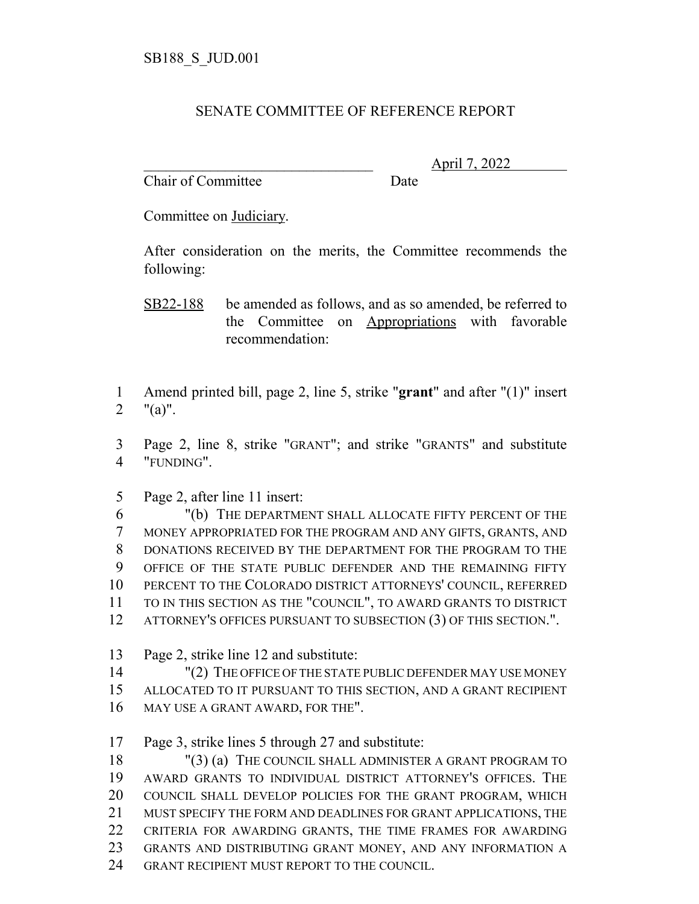## SENATE COMMITTEE OF REFERENCE REPORT

Chair of Committee Date

\_\_\_\_\_\_\_\_\_\_\_\_\_\_\_\_\_\_\_\_\_\_\_\_\_\_\_\_\_\_\_ April 7, 2022

Committee on Judiciary.

After consideration on the merits, the Committee recommends the following:

 Amend printed bill, page 2, line 5, strike "**grant**" and after "(1)" insert "(a)".

 Page 2, line 8, strike "GRANT"; and strike "GRANTS" and substitute "FUNDING".

Page 2, after line 11 insert:

 "(b) THE DEPARTMENT SHALL ALLOCATE FIFTY PERCENT OF THE MONEY APPROPRIATED FOR THE PROGRAM AND ANY GIFTS, GRANTS, AND DONATIONS RECEIVED BY THE DEPARTMENT FOR THE PROGRAM TO THE OFFICE OF THE STATE PUBLIC DEFENDER AND THE REMAINING FIFTY PERCENT TO THE COLORADO DISTRICT ATTORNEYS' COUNCIL, REFERRED TO IN THIS SECTION AS THE "COUNCIL", TO AWARD GRANTS TO DISTRICT 12 ATTORNEY'S OFFICES PURSUANT TO SUBSECTION (3) OF THIS SECTION.".

Page 2, strike line 12 and substitute:

 "(2) THE OFFICE OF THE STATE PUBLIC DEFENDER MAY USE MONEY ALLOCATED TO IT PURSUANT TO THIS SECTION, AND A GRANT RECIPIENT 16 MAY USE A GRANT AWARD, FOR THE".

Page 3, strike lines 5 through 27 and substitute:

 "(3) (a) THE COUNCIL SHALL ADMINISTER A GRANT PROGRAM TO AWARD GRANTS TO INDIVIDUAL DISTRICT ATTORNEY'S OFFICES. THE COUNCIL SHALL DEVELOP POLICIES FOR THE GRANT PROGRAM, WHICH MUST SPECIFY THE FORM AND DEADLINES FOR GRANT APPLICATIONS, THE CRITERIA FOR AWARDING GRANTS, THE TIME FRAMES FOR AWARDING GRANTS AND DISTRIBUTING GRANT MONEY, AND ANY INFORMATION A 24 GRANT RECIPIENT MUST REPORT TO THE COUNCIL.

SB22-188 be amended as follows, and as so amended, be referred to the Committee on Appropriations with favorable recommendation: